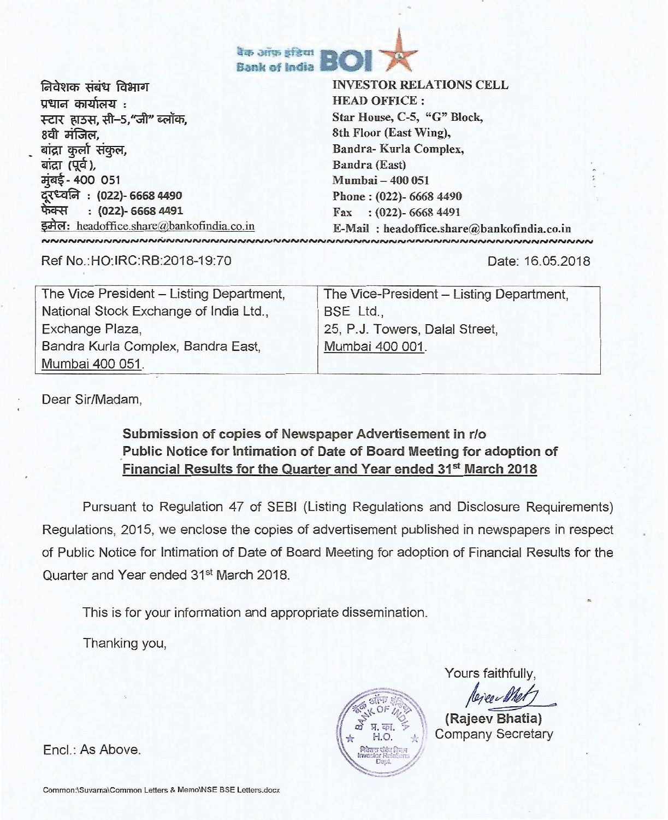

निवेशक संबंध विभाग प्रधान कार्यालय $\,$  : स्टार हाउस, सी–5,"जी" ब्लॉक,<br>8वी मंजिल. बांद्रा कुर्ला संकुल, बांद्रा (पूर्व), मुंबई - 400 051 : (022)- 6668 4490 फेक्स: (022)- 6668 4491 इमेल: headoffice.share@bankofindia.co.in 

INVESTOR RELATIONS CELL HEAD OFFICE : Star House, C-5, "G" Block, 8th Floor (East Wing), Bandra- Kurla Complex, Bandra (East) Mumbai — 400 051 Phone : (022)- 6668 4490 Fax : (022)- 6668 4491 E-Mail: headoffice.share@bankofindia.co.in

Ref No.:HO:IRC:RB:2018-19:70 Date: 16.05.2018

| The Vice President - Listing Department, | The Vice-President - Listing Department, |
|------------------------------------------|------------------------------------------|
| National Stock Exchange of India Ltd.,   | BSE Ltd.,                                |
| Exchange Plaza,                          | 25, P.J. Towers, Dalal Street,           |
| Bandra Kurla Complex, Bandra East,       | Mumbai 400 001.                          |
| Mumbai 400 051.                          |                                          |

Dear Sir/Madam,

## Submission of copies of Newspaper Advertisement in r/o Public Notice for Intimation of Date of Board Meeting for adoption of Financial Results for the Quarter and Year ended 31<sup>st</sup> March 2018

Pursuant to Regulation 47 of SEBI (Listing Regulations and Disclosure Requirements) Regulations, 2015, we enclose the copies of advertisement published in newspapers in respect of Public Notice for Intimation of Date of Board Meeting for adoption of Financial Results for the Quarter and Year ended 31<sup>st</sup> March 2018.

This is for your information and appropriate dissemination.

Thanking you,

Yours faithfully,

(Rajeev Bhatia) Company Secretary

Encl.: As Above.